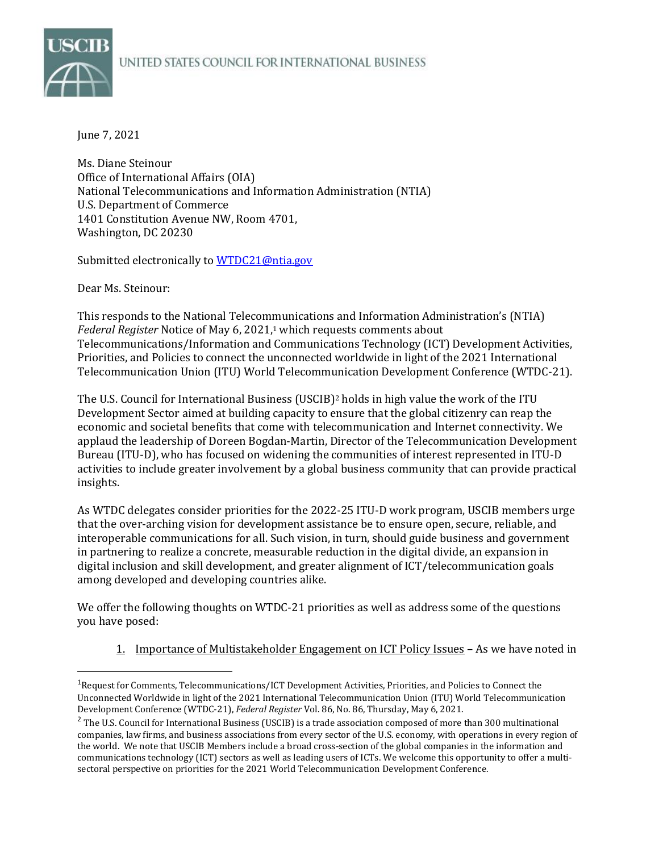## UNITED STATES COUNCIL FOR INTERNATIONAL BUSINESS



June 7, 2021

Ms. Diane Steinour Office of International Affairs (OIA) National Telecommunications and Information Administration (NTIA) U.S. Department of Commerce 1401 Constitution Avenue NW, Room 4701, Washington, DC 20230

Submitted electronically to [WTDC21@ntia.gov](mailto:WTDC21@ntia.gov)

Dear Ms. Steinour:

This responds to the National Telecommunications and Information Administration's (NTIA) *Federal Register* Notice of May 6, 2021, <sup>1</sup> which requests comments about Telecommunications/Information and Communications Technology (ICT) Development Activities, Priorities, and Policies to connect the unconnected worldwide in light of the 2021 International Telecommunication Union (ITU) World Telecommunication Development Conference (WTDC-21).

The U.S. Council for International Business (USCIB)<sup>2</sup> holds in high value the work of the ITU Development Sector aimed at building capacity to ensure that the global citizenry can reap the economic and societal benefits that come with telecommunication and Internet connectivity. We applaud the leadership of Doreen Bogdan-Martin, Director of the Telecommunication Development Bureau (ITU-D), who has focused on widening the communities of interest represented in ITU-D activities to include greater involvement by a global business community that can provide practical insights.

As WTDC delegates consider priorities for the 2022-25 ITU-D work program, USCIB members urge that the over-arching vision for development assistance be to ensure open, secure, reliable, and interoperable communications for all. Such vision, in turn, should guide business and government in partnering to realize a concrete, measurable reduction in the digital divide, an expansion in digital inclusion and skill development, and greater alignment of ICT/telecommunication goals among developed and developing countries alike.

We offer the following thoughts on WTDC-21 priorities as well as address some of the questions you have posed:

1. Importance of Multistakeholder Engagement on ICT Policy Issues – As we have noted in

<sup>1</sup>Request for Comments, Telecommunications/ICT Development Activities, Priorities, and Policies to Connect the Unconnected Worldwide in light of the 2021 International Telecommunication Union (ITU) World Telecommunication Development Conference (WTDC-21), *Federal Register* Vol. 86, No. 86, Thursday, May 6, 2021.

<sup>&</sup>lt;sup>2</sup> The U.S. Council for International Business (USCIB) is a trade association composed of more than 300 multinational companies, law firms, and business associations from every sector of the U.S. economy, with operations in every region of the world. We note that USCIB Members include a broad cross-section of the global companies in the information and communications technology (ICT) sectors as well as leading users of ICTs. We welcome this opportunity to offer a multisectoral perspective on priorities for the 2021 World Telecommunication Development Conference.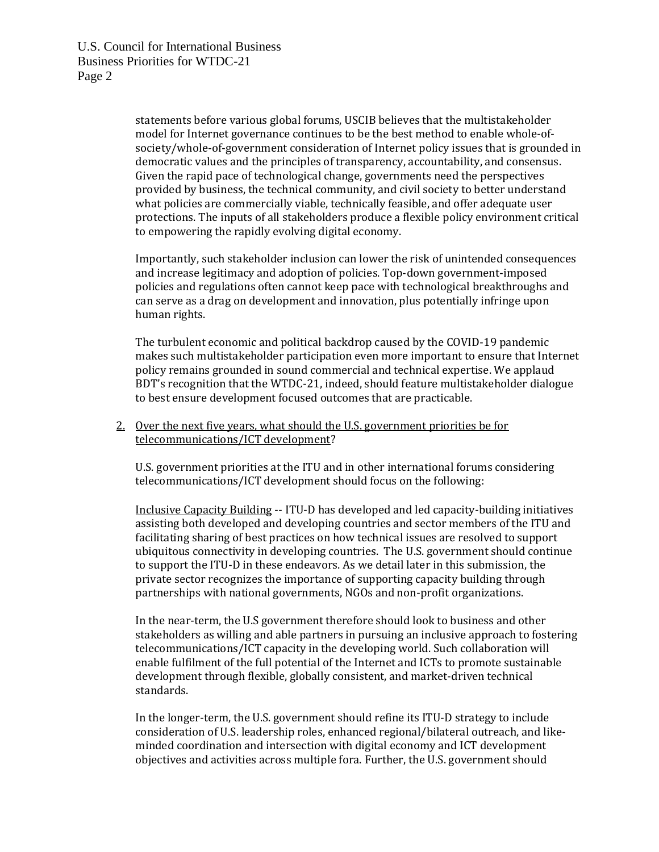statements before various global forums, USCIB believes that the multistakeholder model for Internet governance continues to be the best method to enable whole-ofsociety/whole-of-government consideration of Internet policy issues that is grounded in democratic values and the principles of transparency, accountability, and consensus. Given the rapid pace of technological change, governments need the perspectives provided by business, the technical community, and civil society to better understand what policies are commercially viable, technically feasible, and offer adequate user protections. The inputs of all stakeholders produce a flexible policy environment critical to empowering the rapidly evolving digital economy.

Importantly, such stakeholder inclusion can lower the risk of unintended consequences and increase legitimacy and adoption of policies. Top-down government-imposed policies and regulations often cannot keep pace with technological breakthroughs and can serve as a drag on development and innovation, plus potentially infringe upon human rights.

The turbulent economic and political backdrop caused by the COVID-19 pandemic makes such multistakeholder participation even more important to ensure that Internet policy remains grounded in sound commercial and technical expertise. We applaud BDT's recognition that the WTDC-21, indeed, should feature multistakeholder dialogue to best ensure development focused outcomes that are practicable.

## 2. Over the next five years, what should the U.S. government priorities be for telecommunications/ICT development?

U.S. government priorities at the ITU and in other international forums considering telecommunications/ICT development should focus on the following:

Inclusive Capacity Building -- ITU-D has developed and led capacity-building initiatives assisting both developed and developing countries and sector members of the ITU and facilitating sharing of best practices on how technical issues are resolved to support ubiquitous connectivity in developing countries. The U.S. government should continue to support the ITU-D in these endeavors. As we detail later in this submission, the private sector recognizes the importance of supporting capacity building through partnerships with national governments, NGOs and non-profit organizations.

In the near-term, the U.S government therefore should look to business and other stakeholders as willing and able partners in pursuing an inclusive approach to fostering telecommunications/ICT capacity in the developing world. Such collaboration will enable fulfilment of the full potential of the Internet and ICTs to promote sustainable development through flexible, globally consistent, and market-driven technical standards.

In the longer-term, the U.S. government should refine its ITU-D strategy to include consideration of U.S. leadership roles, enhanced regional/bilateral outreach, and likeminded coordination and intersection with digital economy and ICT development objectives and activities across multiple fora. Further, the U.S. government should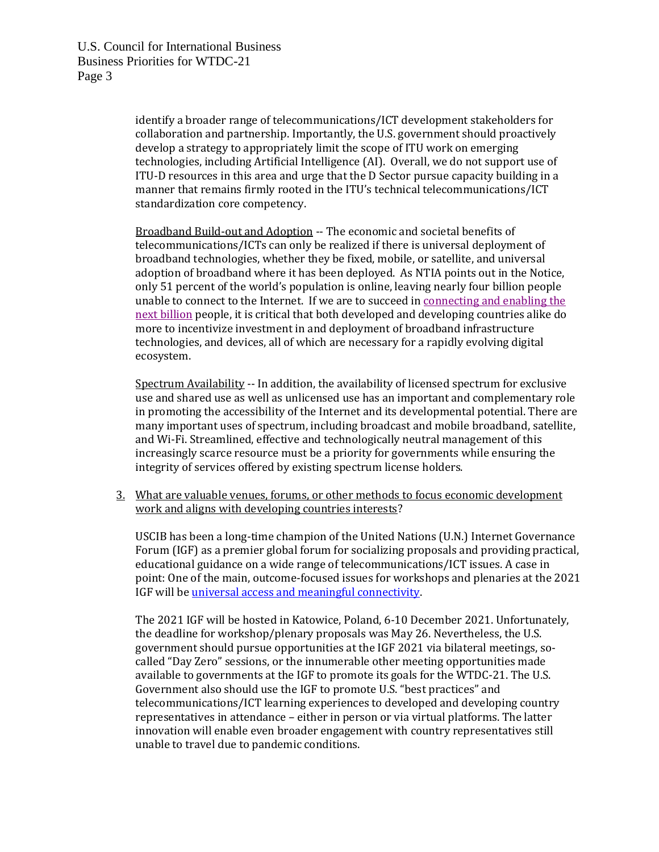identify a broader range of telecommunications/ICT development stakeholders for collaboration and partnership. Importantly, the U.S. government should proactively develop a strategy to appropriately limit the scope of ITU work on emerging technologies, including Artificial Intelligence (AI). Overall, we do not support use of ITU-D resources in this area and urge that the D Sector pursue capacity building in a manner that remains firmly rooted in the ITU's technical telecommunications/ICT standardization core competency.

Broadband Build-out and Adoption -- The economic and societal benefits of telecommunications/ICTs can only be realized if there is universal deployment of broadband technologies, whether they be fixed, mobile, or satellite, and universal adoption of broadband where it has been deployed. As NTIA points out in the Notice, only 51 percent of the world's population is online, leaving nearly four billion people unable to connect to the Internet. If we are to succeed i[n connecting and enabling the](https://www.intgovforum.org/multilingual/content/connecting-and-enabling-the-next-billion-phase-i)  [next billion](https://www.intgovforum.org/multilingual/content/connecting-and-enabling-the-next-billion-phase-i) people, it is critical that both developed and developing countries alike do more to incentivize investment in and deployment of broadband infrastructure technologies, and devices, all of which are necessary for a rapidly evolving digital ecosystem.

Spectrum Availability -- In addition, the availability of licensed spectrum for exclusive use and shared use as well as unlicensed use has an important and complementary role in promoting the accessibility of the Internet and its developmental potential. There are many important uses of spectrum, including broadcast and mobile broadband, satellite, and Wi-Fi. Streamlined, effective and technologically neutral management of this increasingly scarce resource must be a priority for governments while ensuring the integrity of services offered by existing spectrum license holders.

3. What are valuable venues, forums, or other methods to focus economic development work and aligns with developing countries interests?

USCIB has been a long-time champion of the United Nations (U.N.) Internet Governance Forum (IGF) as a premier global forum for socializing proposals and providing practical, educational guidance on a wide range of telecommunications/ICT issues. A case in point: One of the main, outcome-focused issues for workshops and plenaries at the 2021 IGF will b[e universal access and meaningful connectivity.](https://www.intgovforum.org/multilingual/content/igf-2021-focus-areas) 

The 2021 IGF will be hosted in Katowice, Poland, 6-10 December 2021. Unfortunately, the deadline for workshop/plenary proposals was May 26. Nevertheless, the U.S. government should pursue opportunities at the IGF 2021 via bilateral meetings, socalled "Day Zero" sessions, or the innumerable other meeting opportunities made available to governments at the IGF to promote its goals for the WTDC-21. The U.S. Government also should use the IGF to promote U.S. "best practices" and telecommunications/ICT learning experiences to developed and developing country representatives in attendance – either in person or via virtual platforms. The latter innovation will enable even broader engagement with country representatives still unable to travel due to pandemic conditions.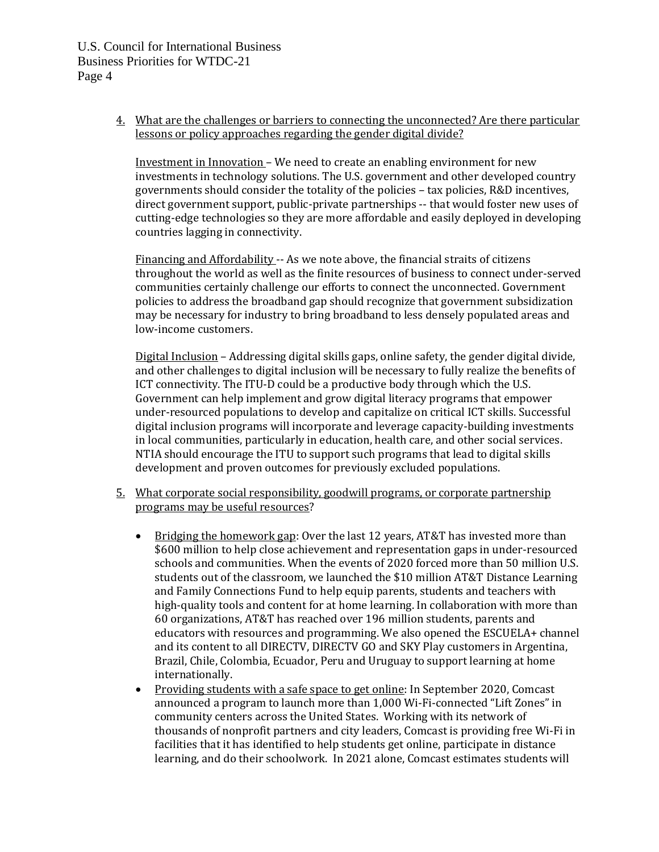4. What are the challenges or barriers to connecting the unconnected? Are there particular lessons or policy approaches regarding the gender digital divide?

Investment in Innovation – We need to create an enabling environment for new investments in technology solutions. The U.S. government and other developed country governments should consider the totality of the policies – tax policies, R&D incentives, direct government support, public-private partnerships -- that would foster new uses of cutting-edge technologies so they are more affordable and easily deployed in developing countries lagging in connectivity.

Financing and Affordability -- As we note above, the financial straits of citizens throughout the world as well as the finite resources of business to connect under-served communities certainly challenge our efforts to connect the unconnected. Government policies to address the broadband gap should recognize that government subsidization may be necessary for industry to bring broadband to less densely populated areas and low-income customers.

Digital Inclusion – Addressing digital skills gaps, online safety, the gender digital divide, and other challenges to digital inclusion will be necessary to fully realize the benefits of ICT connectivity. The ITU-D could be a productive body through which the U.S. Government can help implement and grow digital literacy programs that empower under-resourced populations to develop and capitalize on critical ICT skills. Successful digital inclusion programs will incorporate and leverage capacity-building investments in local communities, particularly in education, health care, and other social services. NTIA should encourage the ITU to support such programs that lead to digital skills development and proven outcomes for previously excluded populations.

- 5. What corporate social responsibility, goodwill programs, or corporate partnership programs may be useful resources?
	- Bridging the homework gap: Over the last 12 years, AT&T has invested more than \$600 million to help close achievement and representation gaps in under-resourced schools and communities. When the events of 2020 forced more than 50 million U.S. students out of the classroom, we launched the \$10 million AT&T Distance Learning and Family Connections Fund to help equip parents, students and teachers with high-quality tools and content for at home learning. In collaboration with more than 60 organizations, AT&T has reached over 196 million students, parents and educators with resources and programming. We also opened the ESCUELA+ channel and its content to all DIRECTV, DIRECTV GO and SKY Play customers in Argentina, Brazil, Chile, Colombia, Ecuador, Peru and Uruguay to support learning at home internationally.
	- Providing students with a safe space to get online: In September 2020, Comcast announced a program to launch more than 1,000 Wi-Fi-connected "Lift Zones" in community centers across the United States. Working with its network of thousands of nonprofit partners and city leaders, Comcast is providing free Wi-Fi in facilities that it has identified to help students get online, participate in distance learning, and do their schoolwork. In 2021 alone, Comcast estimates students will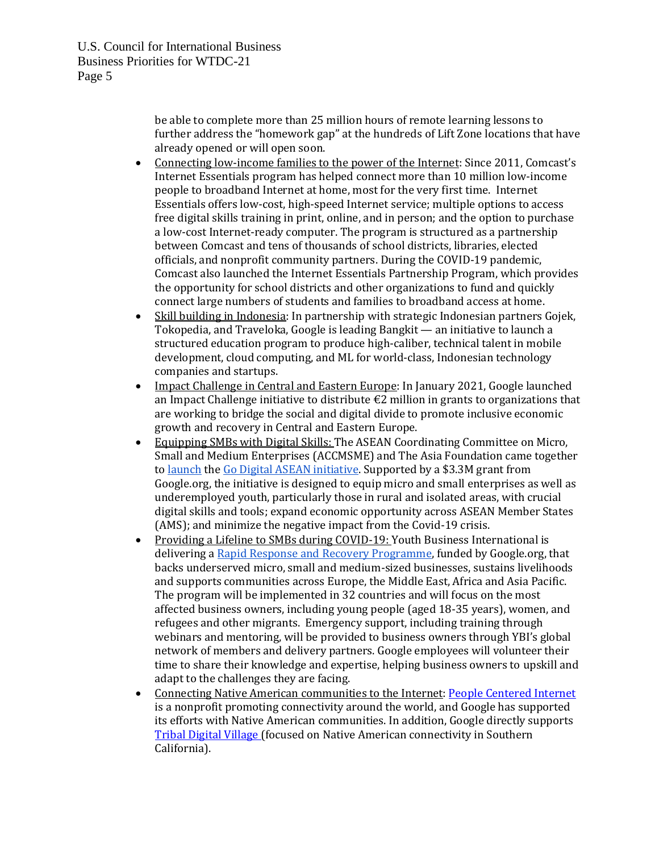be able to complete more than 25 million hours of remote learning lessons to further address the "homework gap" at the hundreds of Lift Zone locations that have already opened or will open soon.

- Connecting low-income families to the power of the Internet: Since 2011, Comcast's Internet Essentials program has helped connect more than 10 million low-income people to broadband Internet at home, most for the very first time. Internet Essentials offers low-cost, high-speed Internet service; multiple options to access free digital skills training in print, online, and in person; and the option to purchase a low-cost Internet-ready computer. The program is structured as a partnership between Comcast and tens of thousands of school districts, libraries, elected officials, and nonprofit community partners. During the COVID-19 pandemic, Comcast also launched the Internet Essentials Partnership Program, which provides the opportunity for school districts and other organizations to fund and quickly connect large numbers of students and families to broadband access at home.
- Skill building in Indonesia: In partnership with strategic Indonesian partners Gojek, Tokopedia, and Traveloka, Google is leadin[g Bangkit](https://www.google.com/url?q=https://grow.google/intl/id_id/bangkit/&sa=D&source=editors&ust=1621008345091000&usg=AOvVaw3zH0YfQ7g_2XKEdu7eyRVz) — an initiative to launch a structured education program to produce high-caliber, technical talent in mobile development, cloud computing, and ML for world-class, Indonesian technology companies and startups.
- Impact Challenge in Central and Eastern Europe: In January 2021, Google launched an [Impact Challenge initiative](https://blog.google/outreach-initiatives/google-org/help-build-digital-future-central-eastern-europe/) to distribute  $\epsilon$ 2 million in grants to organizations that are working to bridge the social and digital divide to promote inclusive economic growth and recovery in Central and Eastern Europe.
- Equipping SMBs with Digital Skills: The ASEAN Coordinating Committee on Micro, Small and Medium Enterprises (ACCMSME) and The Asia Foundation came together to [launch](https://asiafoundation.org/2020/06/22/asean-and-the-asia-foundation-with-support-from-google-org-collaborate-to-equip-200000-micro-and-small-enterprises-with-digital-skills-and-tools-amidst-the-covid-19-crisis/) th[e Go Digital ASEAN initiative.](https://asiafoundation.org/emerging-issues/go-digital-asean/) Supported by a \$3.3M grant from Google.org, the initiative is designed to equip micro and small enterprises as well as underemployed youth, particularly those in rural and isolated areas, with crucial digital skills and tools; expand economic opportunity across ASEAN Member States (AMS); and minimize the negative impact from the Covid-19 crisis.
- Providing a Lifeline to SMBs during COVID-19: Youth Business International is delivering a [Rapid Response and Recovery Programme,](https://www.youthbusiness.org/supporter/google-org) funded by Google.org, that backs underserved micro, small and medium-sized businesses, sustains livelihoods and supports communities across Europe, the Middle East, Africa and Asia Pacific. The program will be implemented in 32 countries and will focus on the most affected business owners, including young people (aged 18-35 years), women, and refugees and other migrants. Emergency support, including training through webinars and mentoring, will be provided to business owners through YBI's global network of members and delivery partners. Google employees will volunteer their time to share their knowledge and expertise, helping business owners to upskill and adapt to the challenges they are facing.
- Connecting Native American communities to the Internet: [People Centered Internet](https://peoplecentered.net/pci-home-2/about/) is a nonprofit promoting connectivity around the world, and Google has supported its efforts with Native American communities. In addition, Google directly supports [Tribal Digital Village \(](https://sctca.net/southern-california-tribal-digital-village/)focused on Native American connectivity in Southern California).